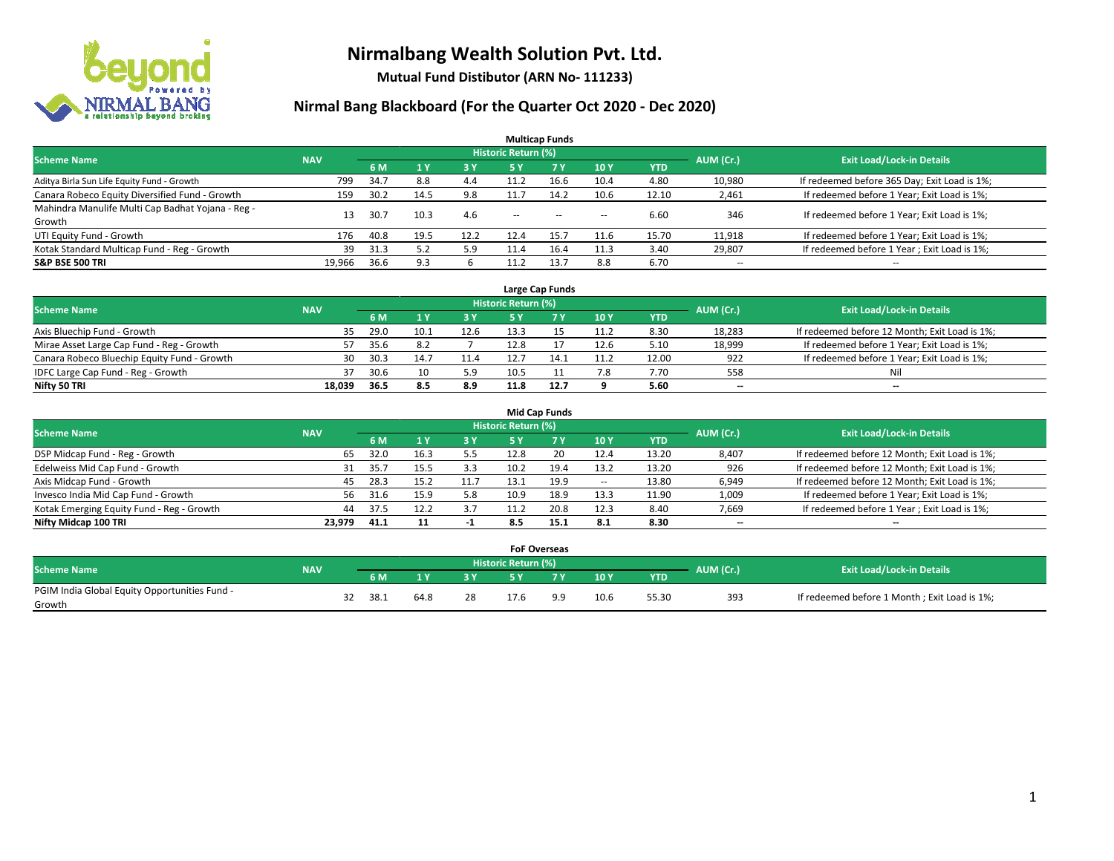

**Mutual Fund Distibutor (ARN No- 111233)**

| <b>Multicap Funds</b>                             |                                                                                                          |      |                |            |                          |           |        |            |                          |                                              |  |  |  |  |  |
|---------------------------------------------------|----------------------------------------------------------------------------------------------------------|------|----------------|------------|--------------------------|-----------|--------|------------|--------------------------|----------------------------------------------|--|--|--|--|--|
|                                                   | Historic Return (%)<br><b>Exit Load/Lock-in Details</b><br>AUM (Cr.)<br><b>Scheme Name</b><br><b>NAV</b> |      |                |            |                          |           |        |            |                          |                                              |  |  |  |  |  |
|                                                   |                                                                                                          | 6 M  | 1 <sub>V</sub> | <b>3 Y</b> | <b>5 Y</b>               | <b>7Y</b> | 10Y    | <b>YTD</b> |                          |                                              |  |  |  |  |  |
| Aditya Birla Sun Life Equity Fund - Growth        | 799                                                                                                      | 34.7 | 8.8            | 4.4        | 11.2                     | 16.6      | 10.4   | 4.80       | 10,980                   | If redeemed before 365 Day; Exit Load is 1%; |  |  |  |  |  |
| Canara Robeco Equity Diversified Fund - Growth    | 159                                                                                                      | 30.2 | 14.5           | 9.8        | 11.7                     | 14.2      | 10.6   | 12.10      | 2,461                    | If redeemed before 1 Year; Exit Load is 1%;  |  |  |  |  |  |
| Mahindra Manulife Multi Cap Badhat Yojana - Reg - | 13                                                                                                       | 30.7 | 10.3           | 4.6        | $\overline{\phantom{a}}$ | $\sim$    |        | 6.60       | 346                      | If redeemed before 1 Year; Exit Load is 1%;  |  |  |  |  |  |
| Growth                                            |                                                                                                          |      |                |            |                          |           | $\sim$ |            |                          |                                              |  |  |  |  |  |
| UTI Equity Fund - Growth                          | 176                                                                                                      | 40.8 | 19.5           | 12.2       | 12.4                     | 15.7      | 11.6   | 15.70      | 11,918                   | If redeemed before 1 Year; Exit Load is 1%;  |  |  |  |  |  |
| Kotak Standard Multicap Fund - Reg - Growth       | 39                                                                                                       | 31.3 | 5.2            | 5.9        | 11.4                     | 16.4      | 11.3   | 3.40       | 29,807                   | If redeemed before 1 Year; Exit Load is 1%;  |  |  |  |  |  |
| <b>S&amp;P BSE 500 TRI</b>                        | 19,966                                                                                                   | 36.6 | 9.3            |            |                          | 13.7      | 8.8    | 6.70       | $\overline{\phantom{a}}$ | $- -$                                        |  |  |  |  |  |

|                                             |            |      |      |      |                            | Large Cap Funds |                 |            |           |                                               |
|---------------------------------------------|------------|------|------|------|----------------------------|-----------------|-----------------|------------|-----------|-----------------------------------------------|
| <b>Scheme Name</b>                          | <b>NAV</b> |      |      |      | <b>Historic Return (%)</b> |                 |                 |            | AUM (Cr.) | <b>Exit Load/Lock-in Details</b>              |
|                                             |            | 6 M  |      | 3Y   |                            | 7 Y             | 10Y             | <b>YTD</b> |           |                                               |
| Axis Bluechip Fund - Growth                 | 35         | 29.0 | 10.1 | 12.6 | 13.3                       |                 | 11 2<br><b></b> | 8.30       | 18,283    | If redeemed before 12 Month; Exit Load is 1%; |
| Mirae Asset Large Cap Fund - Reg - Growth   | 57         | 35.6 | 8.2  |      | 12.8                       |                 | 12.6            | 5.10       | 18,999    | If redeemed before 1 Year; Exit Load is 1%;   |
| Canara Robeco Bluechip Equity Fund - Growth | 30         | 30.3 |      | 11.4 |                            |                 |                 | 12.00      | 922       | If redeemed before 1 Year; Exit Load is 1%;   |
| IDFC Large Cap Fund - Reg - Growth          | 37         | 30.6 | 10   | 5.9  | 10.5                       |                 | 7.8             | 7.70       | 558       | Nil                                           |
| Nifty 50 TRI                                | 18.039     | 36.5 | 8.5  | 8.9  | 11.8                       | 12.7            |                 | 5.60       | $- -$     | $-$                                           |

| <b>Mid Cap Funds</b>                      |            |           |                                  |           |      |      |                          |            |       |                                               |  |  |  |  |
|-------------------------------------------|------------|-----------|----------------------------------|-----------|------|------|--------------------------|------------|-------|-----------------------------------------------|--|--|--|--|
| <b>Scheme Name</b>                        | <b>NAV</b> | AUM (Cr.) | <b>Exit Load/Lock-in Details</b> |           |      |      |                          |            |       |                                               |  |  |  |  |
|                                           |            | 6 M       |                                  | <b>3Y</b> | 5 Y  |      | 10Y                      | <b>YTD</b> |       |                                               |  |  |  |  |
| DSP Midcap Fund - Reg - Growth            | 65         | 32.0      | 16.3                             | 5.5       | 12.8 | 20   | 12.4                     | 13.20      | 8,407 | If redeemed before 12 Month; Exit Load is 1%; |  |  |  |  |
| Edelweiss Mid Cap Fund - Growth           | 31         | 35.7      | 15.5                             | 3.3       | 10.2 | 19.4 | 13.2                     | 13.20      | 926   | If redeemed before 12 Month; Exit Load is 1%; |  |  |  |  |
| Axis Midcap Fund - Growth                 | 45         | 28.3      | 15.2                             | 11.7      |      | 19.9 | $\overline{\phantom{a}}$ | 13.80      | 6,949 | If redeemed before 12 Month; Exit Load is 1%; |  |  |  |  |
| Invesco India Mid Cap Fund - Growth       | 56         | 31.6      |                                  | 5.8       | 10.9 | 18.9 | 13.3                     | 11.90      | 1,009 | If redeemed before 1 Year; Exit Load is 1%;   |  |  |  |  |
| Kotak Emerging Equity Fund - Reg - Growth | 44         | 37.5      | 12.2                             | 3.7       | 11.2 | 20.8 | 12.3                     | 8.40       | 7,669 | If redeemed before 1 Year; Exit Load is 1%;   |  |  |  |  |
| Nifty Midcap 100 TRI                      | 23.979     | 41.1      |                                  |           | 8.5  | 15.1 | 8.1                      | 8.30       | --    | $\overline{\phantom{a}}$                      |  |  |  |  |

|                                                         |            |      |      |     | <b>FoF Overseas</b> |     |      |            |           |                                              |
|---------------------------------------------------------|------------|------|------|-----|---------------------|-----|------|------------|-----------|----------------------------------------------|
| Scheme Name                                             | <b>NAV</b> |      |      |     | Historic Return (%) |     |      |            | AUM (Cr.) | <b>Exit Load/Lock-in Details</b>             |
|                                                         |            | 6 M  |      | י כ |                     |     | 10Y  | <b>YTD</b> |           |                                              |
| PGIM India Global Equity Opportunities Fund -<br>Growth |            | 38.1 | 64.8 | 28  |                     | a a | 10.6 | 55.30      | 393       | If redeemed before 1 Month; Exit Load is 1%; |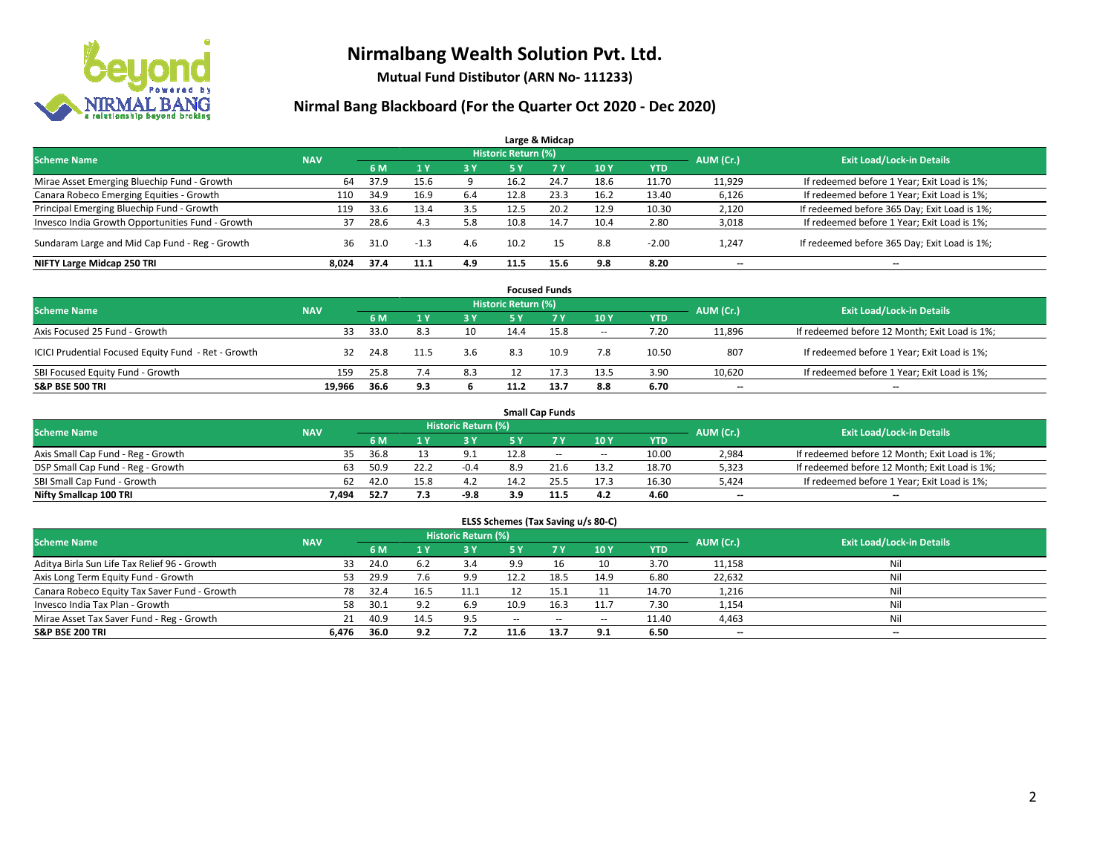

**Mutual Fund Distibutor (ARN No- 111233)**

| Large & Midcap                                   |            |      |                |     |                            |      |                 |            |           |                                              |  |  |  |  |
|--------------------------------------------------|------------|------|----------------|-----|----------------------------|------|-----------------|------------|-----------|----------------------------------------------|--|--|--|--|
| <b>Scheme Name</b>                               | <b>NAV</b> |      |                |     | <b>Historic Return (%)</b> |      |                 |            | AUM (Cr.) | <b>Exit Load/Lock-in Details</b>             |  |  |  |  |
|                                                  |            | 6 M  | 1 <sub>V</sub> | 3 Y | 5 Y                        | 7 Y  | 10 <sub>Y</sub> | <b>YTD</b> |           |                                              |  |  |  |  |
| Mirae Asset Emerging Bluechip Fund - Growth      | 64         | 37.9 | 15.6           |     | 16.2                       | 24.7 | 18.6            | 11.70      | 11,929    | If redeemed before 1 Year; Exit Load is 1%;  |  |  |  |  |
| Canara Robeco Emerging Equities - Growth         | 110        | 34.9 | 16.9           | 6.4 | 12.8                       | 23.3 | 16.2            | 13.40      | 6,126     | If redeemed before 1 Year; Exit Load is 1%;  |  |  |  |  |
| Principal Emerging Bluechip Fund - Growth        | 119        | 33.6 | 13.4           | 3.5 | 12.5                       | 20.2 | 12.9            | 10.30      | 2,120     | If redeemed before 365 Day; Exit Load is 1%; |  |  |  |  |
| Invesco India Growth Opportunities Fund - Growth | 37         | 28.6 | 4.3            | 5.8 | 10.8                       | 14.7 | 10.4            | 2.80       | 3,018     | If redeemed before 1 Year; Exit Load is 1%;  |  |  |  |  |
| Sundaram Large and Mid Cap Fund - Reg - Growth   | 36         | 31.0 | $-1.3$         | 4.6 | 10.2                       | 15   | 8.8             | $-2.00$    | 1.247     | If redeemed before 365 Day; Exit Load is 1%; |  |  |  |  |
| NIFTY Large Midcap 250 TRI                       | 8,024      | 37.4 | 11.1           | 4.9 | 11.5                       | 15.6 | 9.8             | 8.20       |           | --                                           |  |  |  |  |

|                                                     |            |      |      |           |                     | <b>Focused Funds</b> |        |       |           |                                               |
|-----------------------------------------------------|------------|------|------|-----------|---------------------|----------------------|--------|-------|-----------|-----------------------------------------------|
| <b>Scheme Name</b>                                  | <b>NAV</b> |      |      |           | Historic Return (%) |                      |        |       | AUM (Cr.) | <b>Exit Load/Lock-in Details</b>              |
|                                                     |            | 6 M  |      | <b>3Y</b> | 5 Y                 | <b>7Y</b>            | 10Y    | YTD   |           |                                               |
| Axis Focused 25 Fund - Growth                       | 33         | 33.0 | 8.3  | 10        | 14.4                | 15.8                 | $\sim$ | 7.20  | 11,896    | If redeemed before 12 Month; Exit Load is 1%; |
| ICICI Prudential Focused Equity Fund - Ret - Growth | 32         | 24.8 | 11.5 | 3.6       | 8.3                 | 10.9                 | 7.8    | 10.50 | 807       | If redeemed before 1 Year; Exit Load is 1%;   |
| SBI Focused Equity Fund - Growth                    | 159        | 25.8 | 7.4  | 8.3       |                     |                      | 13.5   | 3.90  | 10,620    | If redeemed before 1 Year; Exit Load is 1%;   |
| <b>S&amp;P BSE 500 TRI</b>                          | 19.966     | 36.6 | 9.3  |           | 11.2                | 13.7                 | 8.8    | 6.70  | $- -$     | $\overline{\phantom{a}}$                      |

|                                    |            |      |      |                     |      | <b>Small Cap Funds</b> |                          |            |           |                                               |
|------------------------------------|------------|------|------|---------------------|------|------------------------|--------------------------|------------|-----------|-----------------------------------------------|
| <b>Scheme Name</b>                 | <b>NAV</b> |      |      | Historic Return (%) |      |                        |                          |            |           | <b>Exit Load/Lock-in Details</b>              |
|                                    |            | 6 M  |      | 3 Y                 | 5 Y  |                        | 10Y                      | <b>YTD</b> | AUM (Cr.) |                                               |
| Axis Small Cap Fund - Reg - Growth | 35         | 36.8 |      | 9.1                 | 12.8 | $-$                    | $\hspace{0.05cm} \cdots$ | 10.00      | 2,984     | If redeemed before 12 Month; Exit Load is 1%; |
| DSP Small Cap Fund - Reg - Growth  | 63         | 50.9 | 22.2 | $-0.4$              | 8.9  | 21.6                   | 13.2                     | 18.70      | 5,323     | If redeemed before 12 Month; Exit Load is 1%; |
| SBI Small Cap Fund - Growth        | 62         | 42.0 | 15.8 | 4.2                 | 14.2 | 25.5                   | 17.3                     | 16.30      | 5,424     | If redeemed before 1 Year; Exit Load is 1%;   |
| Nifty Smallcap 100 TRI             | 7.494      | 52.7 | 7.3  | $-9.8$              | 3.9  | 11.5                   | 4.2                      | 4.60       | $- -$     | $\overline{\phantom{a}}$                      |

| ELSS Schemes (Tax Saving u/s 80-C)           |                                  |      |      |      |               |           |                          |            |           |     |  |  |  |
|----------------------------------------------|----------------------------------|------|------|------|---------------|-----------|--------------------------|------------|-----------|-----|--|--|--|
| <b>Scheme Name</b>                           | <b>Exit Load/Lock-in Details</b> |      |      |      |               |           |                          |            |           |     |  |  |  |
|                                              | <b>NAV</b>                       | 6 M  | 1Y   | 3 Y  | <b>5Y</b>     | <b>7Y</b> | 10Y                      | <b>YTD</b> | AUM (Cr.) |     |  |  |  |
| Aditya Birla Sun Life Tax Relief 96 - Growth | 33                               | 24.0 | 6.2  | 3.4  | 9.9           | 16        | 10                       | 3.70       | 11,158    | Nil |  |  |  |
| Axis Long Term Equity Fund - Growth          | 53                               | 29.9 | 7.6  | 9.9  | 12.2          | 18.5      | 14.9                     | 6.80       | 22,632    | Nil |  |  |  |
| Canara Robeco Equity Tax Saver Fund - Growth | 78                               | 32.4 | 16.5 | 11.1 |               | 15.1      | 11                       | 14.70      | 1,216     | Ni  |  |  |  |
| Invesco India Tax Plan - Growth              | 58                               | 30.1 | 9.2  | 6.9  | 10.9          | 16.3      | 11.7                     | 7.30       | 1,154     | Nil |  |  |  |
| Mirae Asset Tax Saver Fund - Reg - Growth    | 21                               | 40.9 | 14.5 | 9.5  | $\sim$ $\sim$ | $\sim$    | $\overline{\phantom{a}}$ | 11.40      | 4,463     | Nil |  |  |  |
| S&P BSE 200 TRI                              | 6.476                            | 36.0 | 9.2  | 7.2  | 11.6          | 13.7      | 9.1                      | 6.50       | $- -$     | $-$ |  |  |  |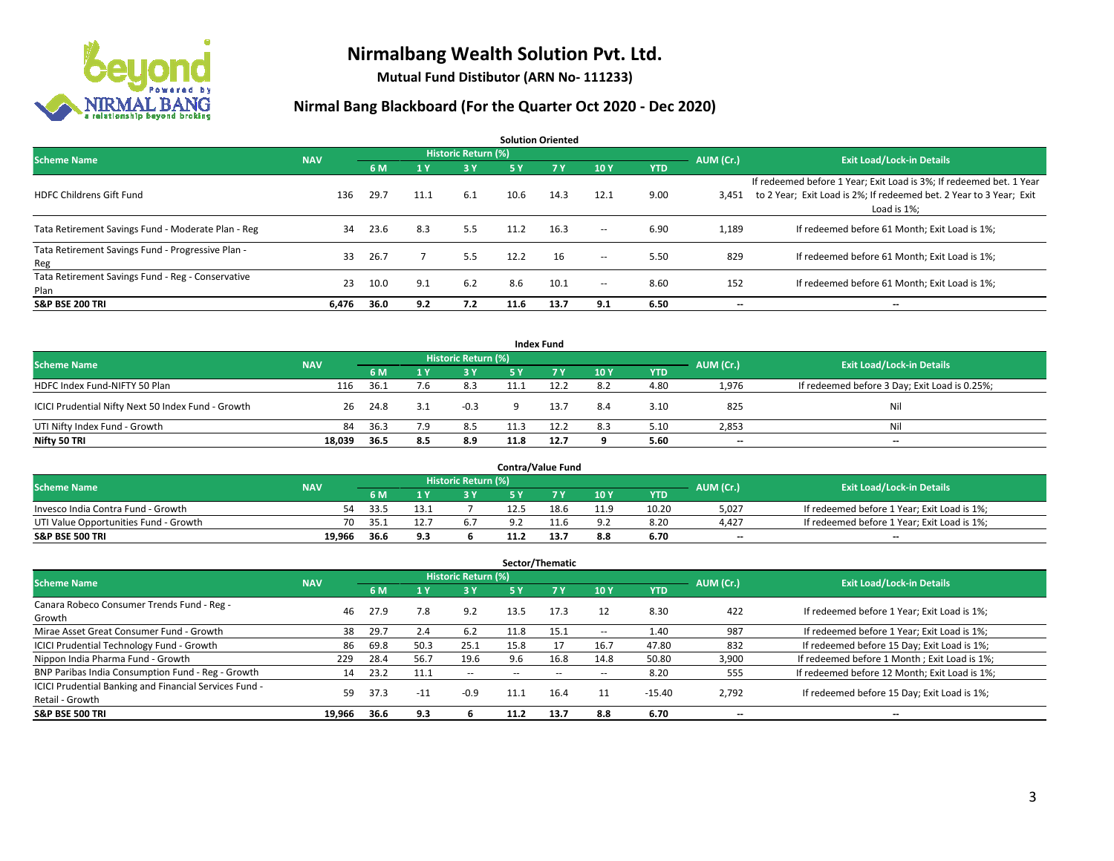

**Mutual Fund Distibutor (ARN No- 111233)**

| <b>Solution Oriented</b>                                  |            |      |      |                            |      |      |        |            |           |                                                                                                                                                           |  |  |  |
|-----------------------------------------------------------|------------|------|------|----------------------------|------|------|--------|------------|-----------|-----------------------------------------------------------------------------------------------------------------------------------------------------------|--|--|--|
| <b>Scheme Name</b>                                        | <b>NAV</b> |      |      | <b>Historic Return (%)</b> |      |      |        |            | AUM (Cr.) | <b>Exit Load/Lock-in Details</b>                                                                                                                          |  |  |  |
|                                                           |            | 6 M  | 1 Y  | 3 Y                        | 5 Y  | 7Y   | 10Y    | <b>YTD</b> |           |                                                                                                                                                           |  |  |  |
| <b>HDFC Childrens Gift Fund</b>                           | 136        | 29.7 | 11.1 | 6.1                        | 10.6 | 14.3 | 12.1   | 9.00       | 3.451     | If redeemed before 1 Year; Exit Load is 3%; If redeemed bet. 1 Year<br>to 2 Year; Exit Load is 2%; If redeemed bet. 2 Year to 3 Year; Exit<br>Load is 1%; |  |  |  |
| Tata Retirement Savings Fund - Moderate Plan - Reg        | 34         | 23.6 | 8.3  | 5.5                        | 11.2 | 16.3 | $\sim$ | 6.90       | 1,189     | If redeemed before 61 Month; Exit Load is 1%;                                                                                                             |  |  |  |
| Tata Retirement Savings Fund - Progressive Plan -<br>Reg  | 33         | 26.7 |      | 5.5                        | 12.2 | 16   | $\sim$ | 5.50       | 829       | If redeemed before 61 Month; Exit Load is 1%;                                                                                                             |  |  |  |
| Tata Retirement Savings Fund - Reg - Conservative<br>Plan | 23         | 10.0 | 9.1  | 6.2                        | 8.6  | 10.1 | $\sim$ | 8.60       | 152       | If redeemed before 61 Month; Exit Load is 1%;                                                                                                             |  |  |  |
| <b>S&amp;P BSE 200 TRI</b>                                | 6.476      | 36.0 | 9.2  | 7.2                        | 11.6 | 13.7 | 9.1    | 6.50       | --        | --                                                                                                                                                        |  |  |  |

| <b>Index Fund</b>                                  |            |                                  |     |            |      |      |     |            |       |                                               |  |  |  |
|----------------------------------------------------|------------|----------------------------------|-----|------------|------|------|-----|------------|-------|-----------------------------------------------|--|--|--|
| <b>Scheme Name</b>                                 | AUM (Cr.)  | <b>Exit Load/Lock-in Details</b> |     |            |      |      |     |            |       |                                               |  |  |  |
|                                                    | <b>NAV</b> | 6 M                              |     | <b>3 Y</b> | 5 Y  | 7Y   | 10Y | <b>YTD</b> |       |                                               |  |  |  |
| HDFC Index Fund-NIFTY 50 Plan                      | 116        | 36.1                             |     | 8.3        |      |      | 8.2 | 4.80       | 1,976 | If redeemed before 3 Day; Exit Load is 0.25%; |  |  |  |
| ICICI Prudential Nifty Next 50 Index Fund - Growth | 26         | 24.8                             |     | $-0.3$     |      | 13.7 | 8.4 | 3.10       | 825   | Nil                                           |  |  |  |
| UTI Nifty Index Fund - Growth                      | 84         | 36.3                             |     | 8.5        |      | 12.2 | 8.3 | 5.10       | 2,853 | Nil                                           |  |  |  |
| Nifty 50 TRI                                       | 18,039     | 36.5                             | 8.5 | 8.9        | 11.8 | 12.7 |     | 5.60       | $-$   | $\overline{\phantom{a}}$                      |  |  |  |

|                                       |            |       |     |                            |      | <b>Contra/Value Fund</b> |      |       |           |                                             |
|---------------------------------------|------------|-------|-----|----------------------------|------|--------------------------|------|-------|-----------|---------------------------------------------|
| <b>Scheme Name</b>                    | <b>NAV</b> |       |     | <b>Historic Return (%)</b> |      |                          |      |       | AUM (Cr.) | <b>Exit Load/Lock-in Details</b>            |
|                                       |            | 6 M   |     | 2 V                        |      | 7 V                      | 10Y  | YTD   |           |                                             |
| Invesco India Contra Fund - Growth    | 54         | -33.5 |     |                            | 12.5 | 18.6                     | 11.9 | 10.20 | 5,027     | If redeemed before 1 Year; Exit Load is 1%; |
| UTI Value Opportunities Fund - Growth | 70         | - 35. |     | 6.7                        |      |                          | 9.2  | 8.20  | 4,427     | If redeemed before 1 Year; Exit Load is 1%; |
| <b>S&amp;P BSE 500 TRI</b>            | 19.966     | 36.6  | 9.3 |                            |      | 13.7                     | 8.8  | 6.70  | $- -$     | $- -$                                       |

| Sector/Thematic                                                           |            |      |                         |                     |      |      |      |            |           |                                               |  |  |  |
|---------------------------------------------------------------------------|------------|------|-------------------------|---------------------|------|------|------|------------|-----------|-----------------------------------------------|--|--|--|
| <b>Scheme Name</b>                                                        | <b>NAV</b> |      |                         | Historic Return (%) |      |      |      |            | AUM (Cr.) | <b>Exit Load/Lock-in Details</b>              |  |  |  |
|                                                                           |            | 6 M  | $\mathbf{1} \mathbf{y}$ | <b>3Y</b>           | 5 Y  | 7Y   | 10Y  | <b>YTD</b> |           |                                               |  |  |  |
| Canara Robeco Consumer Trends Fund - Reg -<br>Growth                      | 46         | 27.9 | 7.8                     | 9.2                 | 13.5 | 17.3 | 12   | 8.30       | 422       | If redeemed before 1 Year; Exit Load is 1%;   |  |  |  |
| Mirae Asset Great Consumer Fund - Growth                                  | 38         | 29.7 | 2.4                     | 6.2                 | 11.8 | 15.1 | --   | 1.40       | 987       | If redeemed before 1 Year; Exit Load is 1%;   |  |  |  |
| ICICI Prudential Technology Fund - Growth                                 | 86         | 69.8 | 50.3                    | 25.1                | 15.8 | 17   | 16.7 | 47.80      | 832       | If redeemed before 15 Day; Exit Load is 1%;   |  |  |  |
| Nippon India Pharma Fund - Growth                                         | 229        | 28.4 | 56.7                    | 19.6                | 9.6  | 16.8 | 14.8 | 50.80      | 3,900     | If redeemed before 1 Month; Exit Load is 1%;  |  |  |  |
| BNP Paribas India Consumption Fund - Reg - Growth                         | 14         | 23.2 | 11.1                    | $\sim$              | --   | --   | --   | 8.20       | 555       | If redeemed before 12 Month; Exit Load is 1%; |  |  |  |
| ICICI Prudential Banking and Financial Services Fund -<br>Retail - Growth | 59         | 37.3 | $-11$                   | $-0.9$              | 11.1 | 16.4 |      | $-15.40$   | 2,792     | If redeemed before 15 Day; Exit Load is 1%;   |  |  |  |
| <b>S&amp;P BSE 500 TRI</b>                                                | 19.966     | 36.6 | 9.3                     |                     | 11.2 | 13.7 | 8.8  | 6.70       | --        | --                                            |  |  |  |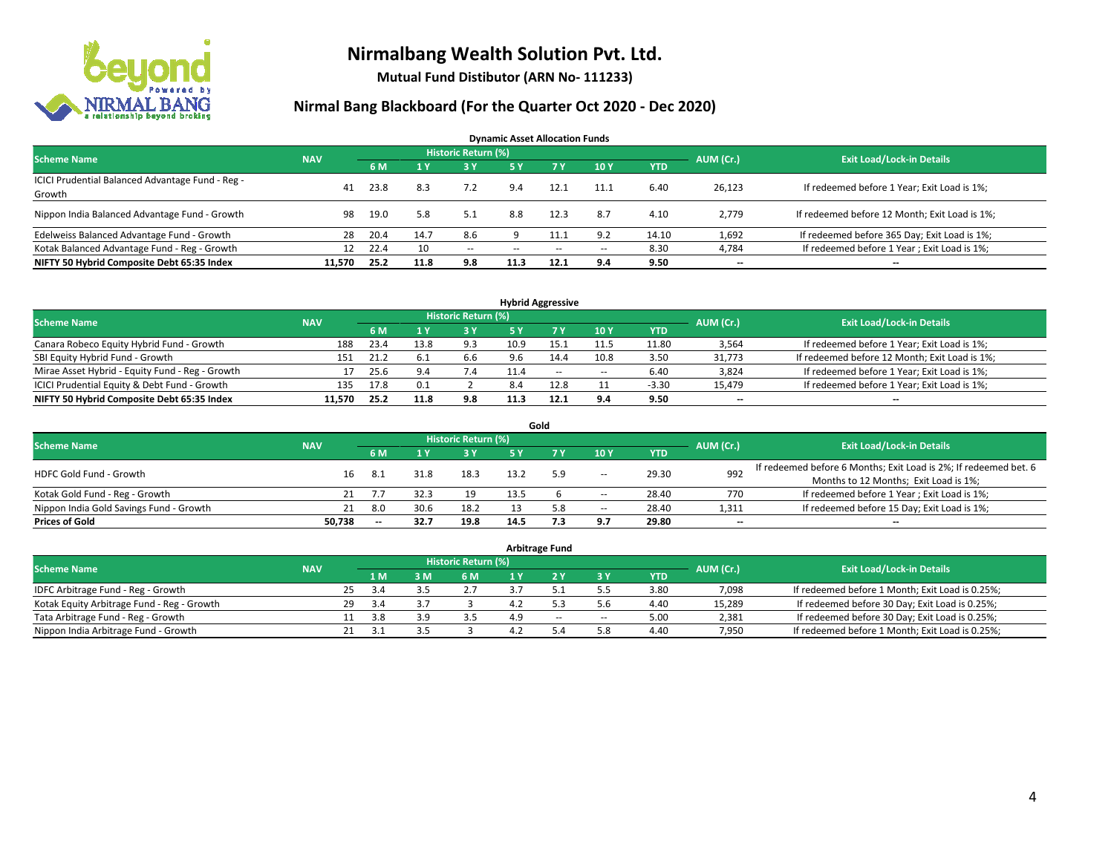

**Mutual Fund Distibutor (ARN No- 111233)**

| <b>Dynamic Asset Allocation Funds</b>                      |            |      |      |                            |               |      |       |            |           |                                               |  |  |  |  |
|------------------------------------------------------------|------------|------|------|----------------------------|---------------|------|-------|------------|-----------|-----------------------------------------------|--|--|--|--|
| Scheme Name                                                | <b>NAV</b> |      |      | <b>Historic Return (%)</b> |               |      |       |            | AUM (Cr.) | <b>Exit Load/Lock-in Details</b>              |  |  |  |  |
|                                                            |            | 6 M  |      | <b>3Y</b>                  | <b>5Y</b>     | 7V   | 10Y   | <b>YTD</b> |           |                                               |  |  |  |  |
| ICICI Prudential Balanced Advantage Fund - Reg -<br>Growth | 41         | 23.8 | 8.3  | 7.2                        | 9.4           | 12.1 | 11.1  | 6.40       | 26,123    | If redeemed before 1 Year; Exit Load is 1%;   |  |  |  |  |
| Nippon India Balanced Advantage Fund - Growth              | 98         | 19.0 | 5.8  | 5.1                        | 8.8           | 12.3 | 8.7   | 4.10       | 2.779     | If redeemed before 12 Month; Exit Load is 1%; |  |  |  |  |
| Edelweiss Balanced Advantage Fund - Growth                 | 28         | 20.4 | 14.7 | 8.6                        |               |      | 9.2   | 14.10      | 1,692     | If redeemed before 365 Day; Exit Load is 1%;  |  |  |  |  |
| Kotak Balanced Advantage Fund - Reg - Growth               | 12         | 22.4 | 10   | $\sim$                     | $\sim$ $\sim$ | $-$  | $\!-$ | 8.30       | 4,784     | If redeemed before 1 Year; Exit Load is 1%;   |  |  |  |  |
| NIFTY 50 Hybrid Composite Debt 65:35 Index                 | 11,570     | 25.2 | 11.8 | 9.8                        | 11.3          | 12.1 | 9.4   | 9.50       | --        | $\overline{\phantom{a}}$                      |  |  |  |  |

| <b>Hybrid Aggressive</b>                        |            |      |      |                            |      |      |        |            |           |                                               |  |  |  |
|-------------------------------------------------|------------|------|------|----------------------------|------|------|--------|------------|-----------|-----------------------------------------------|--|--|--|
| <b>Scheme Name</b>                              | <b>NAV</b> |      |      | <b>Historic Return (%)</b> |      |      |        |            | AUM (Cr.) | <b>Exit Load/Lock-in Details</b>              |  |  |  |
|                                                 |            | 6 M  |      | <b>3 Y</b>                 |      |      | 10Y    | <b>YTD</b> |           |                                               |  |  |  |
| Canara Robeco Equity Hybrid Fund - Growth       | 188        | 23.4 | 13.8 | 9.3                        | 10.9 | 15.1 | 11.5   | 11.80      | 3,564     | If redeemed before 1 Year; Exit Load is 1%;   |  |  |  |
| SBI Equity Hybrid Fund - Growth                 | 151        | 21.2 | -6.1 | 6.6                        |      | 14.4 | 10.8   | 3.50       | 31,773    | If redeemed before 12 Month; Exit Load is 1%; |  |  |  |
| Mirae Asset Hybrid - Equity Fund - Reg - Growth |            | 25.6 | 9.4  | 7.4                        |      | $-$  | $\sim$ | 6.40       | 3,824     | If redeemed before 1 Year; Exit Load is 1%;   |  |  |  |
| ICICI Prudential Equity & Debt Fund - Growth    | 135        | 17.8 | 0.1  |                            | 8.4  | 12.8 |        | $-3.30$    | 15.479    | If redeemed before 1 Year; Exit Load is 1%;   |  |  |  |
| NIFTY 50 Hybrid Composite Debt 65:35 Index      | 11.570     | 25.2 | 11.8 | 9.8                        |      | 12.1 | 9.4    | 9.50       | $- -$     | $\overline{\phantom{a}}$                      |  |  |  |

|                                         |            |    |       |      |                     |      | Gold |       |       |                          |                                                                                                           |
|-----------------------------------------|------------|----|-------|------|---------------------|------|------|-------|-------|--------------------------|-----------------------------------------------------------------------------------------------------------|
| <b>Scheme Name</b>                      | <b>NAV</b> |    |       |      | Historic Return (%) |      |      |       |       | AUM (Cr.)                | <b>Exit Load/Lock-in Details</b>                                                                          |
|                                         |            |    | 6 M   |      | 3 Y                 | 5 Y  |      | 10Y   | YTD   |                          |                                                                                                           |
| HDFC Gold Fund - Growth                 |            | 16 | -8.1  | 31.8 | 18.3                | 13.2 | 5.9  | $\!-$ | 29.30 | 992                      | If redeemed before 6 Months; Exit Load is 2%; If redeemed bet. 6<br>Months to 12 Months; Exit Load is 1%; |
| Kotak Gold Fund - Reg - Growth          |            | 21 |       | 32.3 |                     | 13.5 |      | -     | 28.40 | 770                      | If redeemed before 1 Year; Exit Load is 1%;                                                               |
| Nippon India Gold Savings Fund - Growth |            | 21 | 8.0   | 30.6 | 18.2                |      | 5.8  | $\!-$ | 28.40 | 1,311                    | If redeemed before 15 Day; Exit Load is 1%;                                                               |
| <b>Prices of Gold</b>                   | 50.738     |    | $- -$ | 32.7 | 19.8                | 14.5 |      | 9.7   | 29.80 | $\overline{\phantom{a}}$ | $\overline{\phantom{a}}$                                                                                  |

| <b>Arbitrage Fund</b>                      |            |     |      |     |                            |  |     |        |            |           |                                                 |  |  |
|--------------------------------------------|------------|-----|------|-----|----------------------------|--|-----|--------|------------|-----------|-------------------------------------------------|--|--|
| <b>Scheme Name</b>                         | <b>NAV</b> |     |      |     | <b>Historic Return (%)</b> |  |     |        |            | AUM (Cr.) | <b>Exit Load/Lock-in Details</b>                |  |  |
|                                            |            |     | 4 M  | 3 M | 6 M                        |  |     | ЗY     | <b>YTD</b> |           |                                                 |  |  |
| IDFC Arbitrage Fund - Reg - Growth         |            | 25. | -3.4 |     |                            |  |     |        | 3.80       | 7,098     | If redeemed before 1 Month; Exit Load is 0.25%; |  |  |
| Kotak Equity Arbitrage Fund - Reg - Growth |            | 29  | 3.4  |     |                            |  |     | 5.6    | 4.40       | 15,289    | If redeemed before 30 Day; Exit Load is 0.25%;  |  |  |
| Tata Arbitrage Fund - Reg - Growth         |            |     | 3.8  | эa  | 3.5                        |  | $-$ | $\sim$ | 5.00       | 2,381     | If redeemed before 30 Day; Exit Load is 0.25%;  |  |  |
| Nippon India Arbitrage Fund - Growth       |            |     |      |     |                            |  |     | 5.8    | 4.40       | 7.950     | If redeemed before 1 Month; Exit Load is 0.25%; |  |  |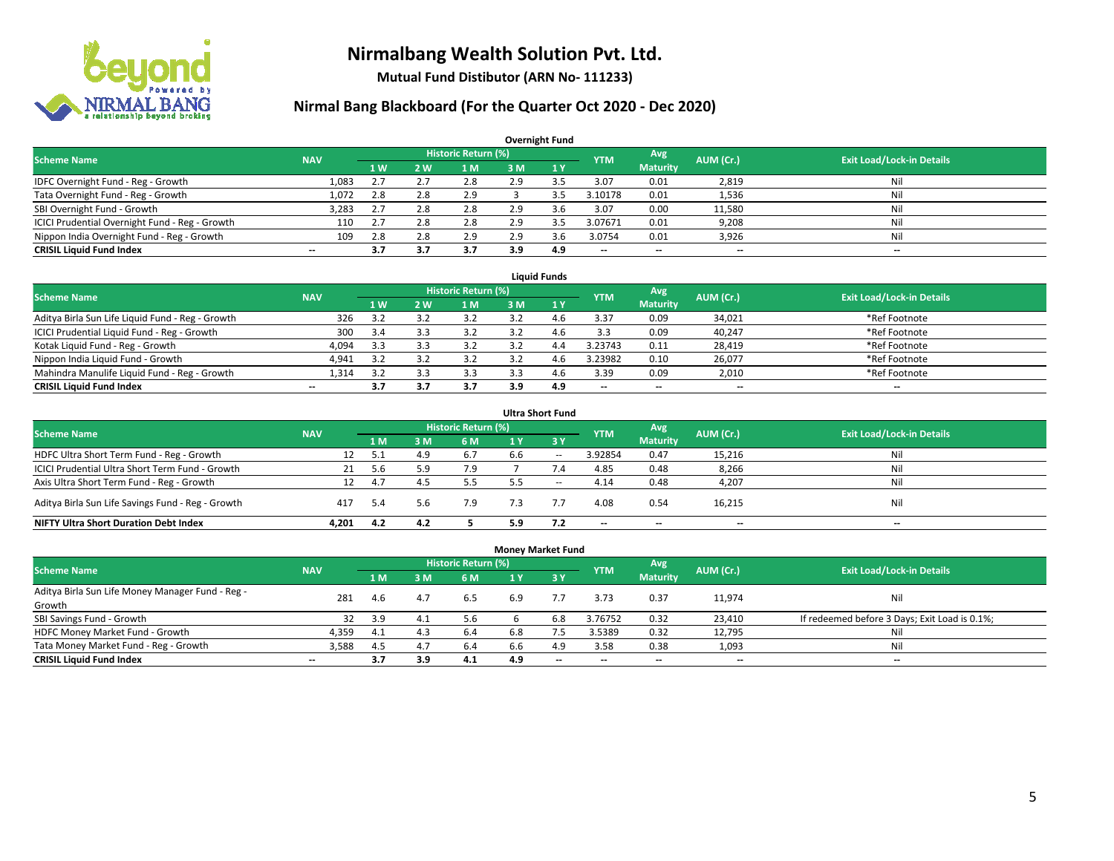

**Mutual Fund Distibutor (ARN No- 111233)**

| <b>Overnight Fund</b>                          |            |     |     |                            |     |              |                          |                          |                          |                                  |  |  |  |  |
|------------------------------------------------|------------|-----|-----|----------------------------|-----|--------------|--------------------------|--------------------------|--------------------------|----------------------------------|--|--|--|--|
| <b>Scheme Name</b>                             | <b>NAV</b> |     |     | <b>Historic Return (%)</b> |     |              | <b>YTM</b>               | Avg                      | AUM (Cr.)                | <b>Exit Load/Lock-in Details</b> |  |  |  |  |
|                                                |            | 1W  | 2 W | 1 M                        | 3 M | $\sqrt{1}$ Y |                          | <b>Maturity</b>          |                          |                                  |  |  |  |  |
| IDFC Overnight Fund - Reg - Growth             | 1,083      | 2.7 | 2.7 | 2.8                        | 2.9 | 3.5          | 3.07                     | 0.01                     | 2,819                    | Nil                              |  |  |  |  |
| Tata Overnight Fund - Reg - Growth             | 1,072      | 2.8 | 2.8 | 2.9                        |     | 3.5          | 3.10178                  | 0.01                     | 1,536                    | Nil                              |  |  |  |  |
| SBI Overnight Fund - Growth                    | 3,283      | 2.7 | 2.8 | 2.8                        | 2.9 | 3.6          | 3.07                     | 0.00                     | 11,580                   | Nil                              |  |  |  |  |
| ICICI Prudential Overnight Fund - Reg - Growth | 110        | 2.7 | 2.8 | 2.8                        | 2.9 |              | 3.07671                  | 0.01                     | 9,208                    | Nil                              |  |  |  |  |
| Nippon India Overnight Fund - Reg - Growth     | 109        | 2.8 | 2.8 | 2.9                        | 2.9 | 3.6          | 3.0754                   | 0.01                     | 3,926                    | Nil                              |  |  |  |  |
| <b>CRISIL Liquid Fund Index</b>                | $- -$      | 3.7 | 3.7 | 3.7                        | 3.9 | 4.9          | $\overline{\phantom{a}}$ | $\overline{\phantom{a}}$ | $\overline{\phantom{m}}$ | $\overline{\phantom{a}}$         |  |  |  |  |

| <b>Liquid Funds</b>                              |            |           |     |                            |     |          |            |                          |                          |                                  |  |  |  |
|--------------------------------------------------|------------|-----------|-----|----------------------------|-----|----------|------------|--------------------------|--------------------------|----------------------------------|--|--|--|
| <b>Scheme Name</b>                               | <b>NAV</b> |           |     | <b>Historic Return (%)</b> |     |          | <b>YTM</b> | Avg                      | AUM (Cr.)                | <b>Exit Load/Lock-in Details</b> |  |  |  |
|                                                  |            | <b>1W</b> | 2 W | 1 M                        | з м |          |            | <b>Maturity</b>          |                          |                                  |  |  |  |
| Aditya Birla Sun Life Liquid Fund - Reg - Growth | 326        | 3.2       |     | 3.2                        |     | <b>4</b> | 3.37       | 0.09                     | 34,021                   | *Ref Footnote                    |  |  |  |
| ICICI Prudential Liquid Fund - Reg - Growth      | 300        | 3.4       |     | 3.2                        |     | 4.t.     | 3.3        | 0.09                     | 40,247                   | *Ref Footnote                    |  |  |  |
| Kotak Liquid Fund - Reg - Growth                 | 4,094      | 3.3       |     | 3.2                        |     |          | 3.23743    | 0.11                     | 28,419                   | *Ref Footnote                    |  |  |  |
| Nippon India Liquid Fund - Growth                | 4,941      | 3.2       |     | 3.2                        |     | 4.6      | 3.23982    | 0.10                     | 26,077                   | *Ref Footnote                    |  |  |  |
| Mahindra Manulife Liquid Fund - Reg - Growth     | 1,314      | 3.2       |     | 3.3                        |     | 4.U      | 3.39       | 0.09                     | 2,010                    | *Ref Footnote                    |  |  |  |
| <b>CRISIL Liquid Fund Index</b>                  | $- -$      |           |     | 3.7                        | 3.9 | 4.9      | $- -$      | $\overline{\phantom{a}}$ | $\overline{\phantom{a}}$ | $-$                              |  |  |  |

|                                                   |            |      |     |                            |     | <b>Ultra Short Fund</b> |            |                          |                          |                                  |
|---------------------------------------------------|------------|------|-----|----------------------------|-----|-------------------------|------------|--------------------------|--------------------------|----------------------------------|
| <b>Scheme Name</b>                                | <b>NAV</b> |      |     | <b>Historic Return (%)</b> |     |                         | <b>YTM</b> | Avg                      | AUM (Cr.)                | <b>Exit Load/Lock-in Details</b> |
|                                                   |            | 1 M  | 3 M | <b>6M</b>                  | 1 Y | $\angle$ 3 Y            |            | <b>Maturity</b>          |                          |                                  |
| HDFC Ultra Short Term Fund - Reg - Growth         | 12         | -5.1 | 4.9 | 6.7                        | 6.6 | $\sim$                  | 3.92854    | 0.47                     | 15,216                   | Nil                              |
| ICICI Prudential Ultra Short Term Fund - Growth   | 21         | 5.6  |     | 7.9                        |     | 7.4                     | 4.85       | 0.48                     | 8,266                    | Nil                              |
| Axis Ultra Short Term Fund - Reg - Growth         | 12         | 4.7  | 4.5 | 5.5                        |     | $\sim$                  | 4.14       | 0.48                     | 4,207                    | Nil                              |
| Aditya Birla Sun Life Savings Fund - Reg - Growth | 417        | 5.4  | 5.6 | 7.9                        |     | 7.7                     | 4.08       | 0.54                     | 16,215                   | Nil                              |
| <b>NIFTY Ultra Short Duration Debt Index</b>      | 4.201      | 4.2  | 4.2 |                            | 5.9 | 7.2                     | --         | $\overline{\phantom{a}}$ | $\overline{\phantom{a}}$ | $-$                              |

| <b>Money Market Fund</b>                                   |            |      |                |                            |     |                               |                          |                          |           |                                               |  |  |  |  |
|------------------------------------------------------------|------------|------|----------------|----------------------------|-----|-------------------------------|--------------------------|--------------------------|-----------|-----------------------------------------------|--|--|--|--|
| <b>Scheme Name</b>                                         | <b>NAV</b> |      |                | <b>Historic Return (%)</b> |     |                               | <b>YTM</b>               | Avg                      | AUM (Cr.) | <b>Exit Load/Lock-in Details</b>              |  |  |  |  |
|                                                            |            | 1 M  | 3 <sub>M</sub> | 6 M                        | 1 Y | $\overline{3}$ $\overline{Y}$ |                          | <b>Maturity</b>          |           |                                               |  |  |  |  |
| Aditya Birla Sun Life Money Manager Fund - Reg -<br>Growth | 281        | 4.6  | 4.7            | 6.5                        | 6.9 |                               | 3.73                     | 0.37                     | 11,974    | Nil                                           |  |  |  |  |
| SBI Savings Fund - Growth                                  | 32         | 3.9  | ⊥4.            | 5.6                        |     | 6.8                           | 3.76752                  | 0.32                     | 23,410    | If redeemed before 3 Days; Exit Load is 0.1%; |  |  |  |  |
| HDFC Money Market Fund - Growth                            | 4,359      | -4.1 | 4.3            | 6.4                        | 6.8 |                               | 3.5389                   | 0.32                     | 12,795    | Nil                                           |  |  |  |  |
| Tata Money Market Fund - Reg - Growth                      | 3,588      | -4.5 | 4.7            | 6.4                        | 6.6 | 4.9                           | 3.58                     | 0.38                     | 1,093     | Nil                                           |  |  |  |  |
| <b>CRISIL Liquid Fund Index</b>                            | $- -$      | 3.7  | 3.9            | 4.1                        | 4.9 | $\overline{\phantom{a}}$      | $\overline{\phantom{a}}$ | $\overline{\phantom{a}}$ | $- -$     | $-$                                           |  |  |  |  |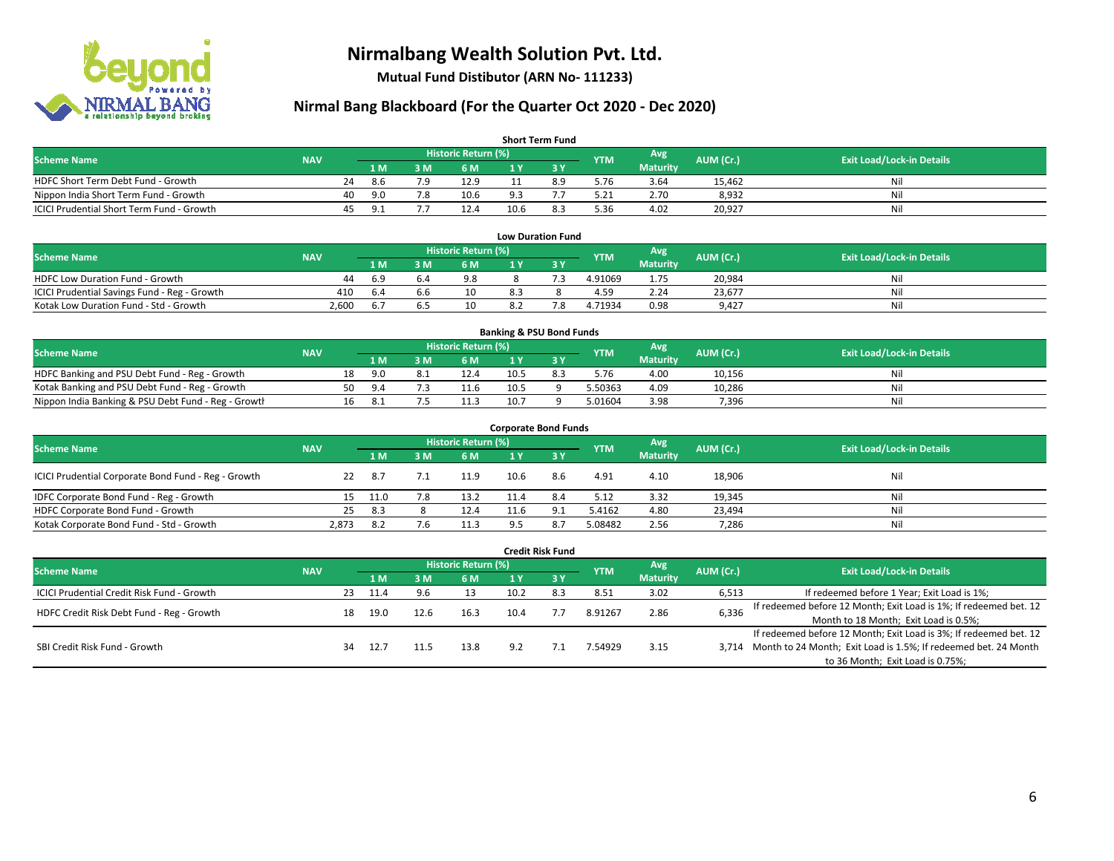

**Mutual Fund Distibutor (ARN No- 111233)**

| <b>Short Term Fund</b>                           |            |    |       |     |                     |      |     |            |                 |           |                                  |  |  |  |
|--------------------------------------------------|------------|----|-------|-----|---------------------|------|-----|------------|-----------------|-----------|----------------------------------|--|--|--|
| <b>Scheme Name</b>                               | <b>NAV</b> |    |       |     | Historic Return (%) |      |     | <b>YTM</b> | Avg             | AUM (Cr.) | <b>Exit Load/Lock-in Details</b> |  |  |  |
|                                                  |            |    | 1 M   | 8 M | 6 M                 |      |     |            | <b>Maturity</b> |           |                                  |  |  |  |
| HDFC Short Term Debt Fund - Growth               |            | 24 | 8.6   | 70  | 12.9                |      | 8.9 | 5.76       | 3.64            | 15.462    | Nil                              |  |  |  |
| Nippon India Short Term Fund - Growth            |            | 40 | 9.0   | 7.8 | 10.6                | 9.3  |     | 5.21       | 2.70            | 8,932     | Nil                              |  |  |  |
| <b>ICICI Prudential Short Term Fund - Growth</b> |            | 45 | - Q 1 |     | 12.4                | 10.6 | 8.3 | 5.36       | 4.02            | 20,927    | Nil                              |  |  |  |

| <b>Low Duration Fund</b>                     |            |      |      |                     |     |    |            |                 |           |                                  |  |  |  |  |
|----------------------------------------------|------------|------|------|---------------------|-----|----|------------|-----------------|-----------|----------------------------------|--|--|--|--|
| <b>Scheme Name</b>                           | <b>NAV</b> |      |      | Historic Return (%) |     |    | <b>YTM</b> | Avg             | AUM (Cr.) | <b>Exit Load/Lock-in Details</b> |  |  |  |  |
|                                              |            | 1 M  | R M' | 6 M                 |     |    |            | <b>Maturity</b> |           |                                  |  |  |  |  |
| <b>HDFC Low Duration Fund - Growth</b>       | 44         | -6.9 | 6.4  | 9.8                 |     |    | 4.91069    | 1.75            | 20,984    | Nil                              |  |  |  |  |
| ICICI Prudential Savings Fund - Reg - Growth | 410        | -6.4 | 6.6  | 10                  | 8.3 |    | 4.59       | 2.24            | 23,677    | Nil                              |  |  |  |  |
| Kotak Low Duration Fund - Std - Growth       | 2,600      | 6.7  | .b.  | 10                  |     | 70 | 4.71934    | 0.98            | 9,427     | Nil                              |  |  |  |  |

| <b>Banking &amp; PSU Bond Funds</b>                 |            |    |          |  |                       |      |  |            |                 |           |                                  |  |  |
|-----------------------------------------------------|------------|----|----------|--|-----------------------|------|--|------------|-----------------|-----------|----------------------------------|--|--|
| <b>Scheme Name</b>                                  | <b>NAV</b> |    |          |  | Historic Return (%) ' |      |  | <b>YTM</b> | Avg             | AUM (Cr.) | <b>Exit Load/Lock-in Details</b> |  |  |
|                                                     |            |    | 1 M.     |  | 6 M                   |      |  |            | <b>Maturity</b> |           |                                  |  |  |
| HDFC Banking and PSU Debt Fund - Reg - Growth       |            | 18 | 9.N      |  | 12.4                  | 10.5 |  | 5.76       | 4.00            | 10,156    | Nil                              |  |  |
| Kotak Banking and PSU Debt Fund - Reg - Growth      |            | 50 | $\Omega$ |  | 11.6                  | 10.5 |  | 5.50363    | 4.09            | 10,286    | Nil                              |  |  |
| Nippon India Banking & PSU Debt Fund - Reg - Growth |            | 16 |          |  | 11.3                  | 10.7 |  | 5.01604    | 3.98            | 7,396     | Nil                              |  |  |

| <b>Corporate Bond Funds</b>                         |            |       |     |                            |      |       |            |                 |           |                                  |  |  |  |  |
|-----------------------------------------------------|------------|-------|-----|----------------------------|------|-------|------------|-----------------|-----------|----------------------------------|--|--|--|--|
| <b>Scheme Name</b>                                  | <b>NAV</b> |       |     | <b>Historic Return (%)</b> |      |       | <b>YTM</b> | Avg             | AUM (Cr.) | <b>Exit Load/Lock-in Details</b> |  |  |  |  |
|                                                     |            | 1 M   | 3 M | 6 M                        | 1 Y  | $-3V$ |            | <b>Maturity</b> |           |                                  |  |  |  |  |
| ICICI Prudential Corporate Bond Fund - Reg - Growth | 22         | -8.7  |     | 11.9                       | 10.6 | 8.6   | 4.91       | 4.10            | 18,906    | Nil                              |  |  |  |  |
| IDFC Corporate Bond Fund - Reg - Growth             | 15.        | 11.0  | 7.8 | 13.2                       | 11.4 | 8.4   | 5.12       | 3.32            | 19,345    | Ni                               |  |  |  |  |
| HDFC Corporate Bond Fund - Growth                   | 25         | - 8.3 |     | 12.4                       | 11.6 | 9.1   | 5.4162     | 4.80            | 23,494    | Nil                              |  |  |  |  |
| Kotak Corporate Bond Fund - Std - Growth            | 2,873      | 8.2   | 7.6 | 11.3                       | 95   | 8.7   | 5.08482    | 2.56            | 7,286     | Nil                              |  |  |  |  |

| Credit Risk Fund                           |            |     |      |      |                            |      |           |            |                        |           |                                                                       |  |  |
|--------------------------------------------|------------|-----|------|------|----------------------------|------|-----------|------------|------------------------|-----------|-----------------------------------------------------------------------|--|--|
| <b>Scheme Name</b>                         | <b>NAV</b> |     |      |      | <b>Historic Return (%)</b> |      |           | <b>YTM</b> | Avg<br><b>Maturity</b> | AUM (Cr.) | <b>Exit Load/Lock-in Details</b>                                      |  |  |
|                                            |            |     | 1 M  | 3 M  | 6 M                        | 1 Y  | $Z$ 3 $V$ |            |                        |           |                                                                       |  |  |
| ICICI Prudential Credit Risk Fund - Growth |            | 23  | 11.4 | 9.6  |                            | 10.2 |           | 8.51       | 3.02                   | 6,513     | If redeemed before 1 Year; Exit Load is 1%;                           |  |  |
| HDFC Credit Risk Debt Fund - Reg - Growth  |            | 18  | 19.0 | 12.6 | 16.3                       | 10.4 |           | 8.91267    | 2.86                   | 6,336     | If redeemed before 12 Month; Exit Load is 1%; If redeemed bet. 12     |  |  |
|                                            |            |     |      |      |                            |      |           |            |                        |           | Month to 18 Month; Exit Load is 0.5%;                                 |  |  |
| SBI Credit Risk Fund - Growth              |            |     |      |      |                            |      |           |            |                        |           | If redeemed before 12 Month; Exit Load is 3%; If redeemed bet. 12     |  |  |
|                                            |            | -34 | 12.7 |      | 13.8                       | 9.2  |           | 7.54929    | 3.15                   |           | 3,714 Month to 24 Month; Exit Load is 1.5%; If redeemed bet. 24 Month |  |  |
|                                            |            |     |      |      |                            |      |           |            |                        |           | to 36 Month; Exit Load is 0.75%;                                      |  |  |